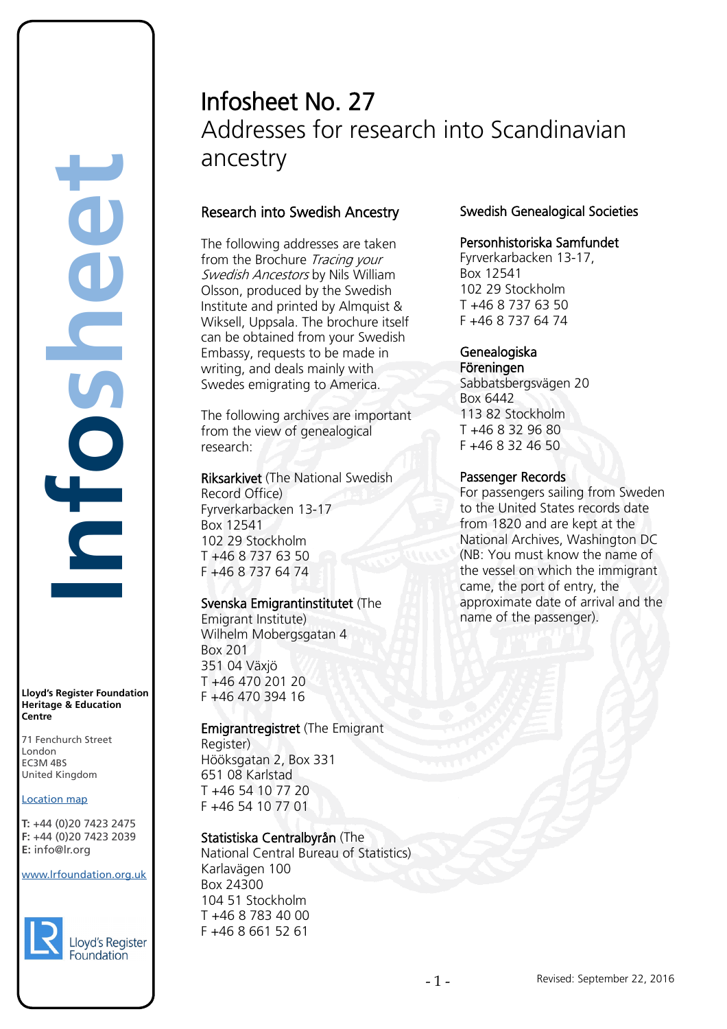# Infosheet No. 27 Addresses for research into Scandinavian ancestry

# Research into Swedish Ancestry

The following addresses are taken from the Brochure Tracing your Swedish Ancestors by Nils William Olsson, produced by the Swedish Institute and printed by Almquist & Wiksell, Uppsala. The brochure itself can be obtained from your Swedish Embassy, requests to be made in writing, and deals mainly with Swedes emigrating to America.

The following archives are important from the view of genealogical research:

Riksarkivet (The National Swedish Record Office) Fyrverkarbacken 13-17 Box 12541 102 29 Stockholm T +46 8 737 63 50 F +46 8 737 64 74

## Svenska Emigrantinstitutet (The

Emigrant Institute) Wilhelm Mobergsgatan 4 Box 201 351 04 Växjö T +46 470 201 20 F +46 470 394 16

# Emigrantregistret (The Emigrant

Register) Hööksgatan 2, Box 331 651 08 Karlstad T +46 54 10 77 20 F +46 54 10 77 01

# Statistiska Centralbyrån (The

National Central Bureau of Statistics) Karlavägen 100 Box 24300 104 51 Stockholm T +46 8 783 40 00 F +46 8 661 52 61

# Swedish Genealogical Societies

## Personhistoriska Samfundet

Fyrverkarbacken 13-17, Box 12541 102 29 Stockholm T +46 8 737 63 50 F +46 8 737 64 74

#### Genealogiska Föreningen

Sabbatsbergsvägen 20 Box 6442 113 82 Stockholm T +46 8 32 96 80 F +46 8 32 46 50

#### Passenger Records

For passengers sailing from Sweden to the United States records date from 1820 and are kept at the National Archives, Washington DC (NB: You must know the name of the vessel on which the immigrant came, the port of entry, the approximate date of arrival and the name of the passenger).

**Lloyd's Register Foundation Heritage & Education Centre**

**Infosheet**

5

É

71 Fenchurch Street 7 Thematen Server<br>London EC3M 4BS United Kingdom EC3M 4BS

#### **Location map**

T: +44 (0)20 7423 2475 **F:** +44 (0)20 7423 2039 Fax: +44 (0)20 7423 2039 **E:** info@lr.org Email: histinfo@lr.org rd's Register Foundat<br>
itage & Education<br>
tre<br>
Eenchurch Street<br>
don<br>
M 4BS<br>
ted Kingdom<br>
ation map<br>
44 (0)20 7423 2475<br>
44 (0)20 7423 2039<br>
nfo@lr.org

www.lrfoundation.org.uk